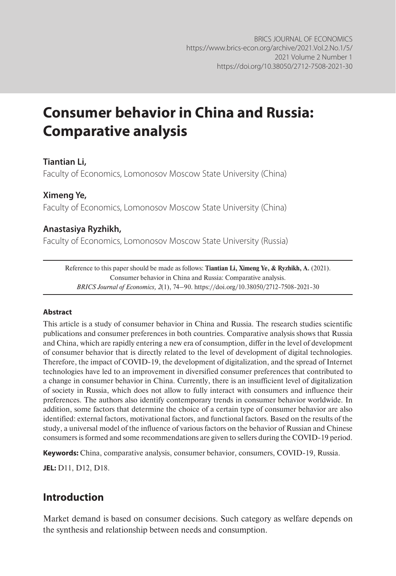# **Consumer behavior in China and Russia: Comparative analysis**

# **Tiantian Li,**

Faculty of Economics, Lomonosov Moscow State University (China)

#### **Ximeng Ye,**

Faculty of Economics, Lomonosov Moscow State University (China)

### **Anastasiya Ryzhikh,**

Faculty of Economics, Lomonosov Moscow State University (Russia)

Reference to this paper should be made as follows: **Tiantian Li, Ximeng Ye, & Ryzhikh, A.** (2021). Consumer behavior in China and Russia: Comparative analysis. *BRICS Journal of Economics, 2*(1), 74–90. https://doi.org/10.38050/2712-7508-2021-30

#### **Abstract**

This article is a study of consumer behavior in China and Russia. The research studies scientific publications and consumer preferences in both countries. Comparative analysis shows that Russia and China, which are rapidly entering a new era of consumption, differ in the level of development of consumer behavior that is directly related to the level of development of digital technologies. Therefore, the impact of COVID-19, the development of digitalization, and the spread of Internet technologies have led to an improvement in diversified consumer preferences that contributed to a change in consumer behavior in China. Currently, there is an insufficient level of digitalization of society in Russia, which does not allow to fully interact with consumers and influence their preferences. The authors also identify contemporary trends in consumer behavior worldwide. In addition, some factors that determine the choice of a certain type of consumer behavior are also identified: external factors, motivational factors, and functional factors. Based on the results of the study, a universal model of the influence of various factors on the behavior of Russian and Chinese consumers is formed and some recommendations are given to sellers during the COVID-19 period.

**Keywords:** China, comparative analysis, consumer behavior, consumers, COVID-19, Russia.

**JEL:** D11, D12, D18.

# **Introduction**

Market demand is based on consumer decisions. Such category as welfare depends on the synthesis and relationship between needs and consumption.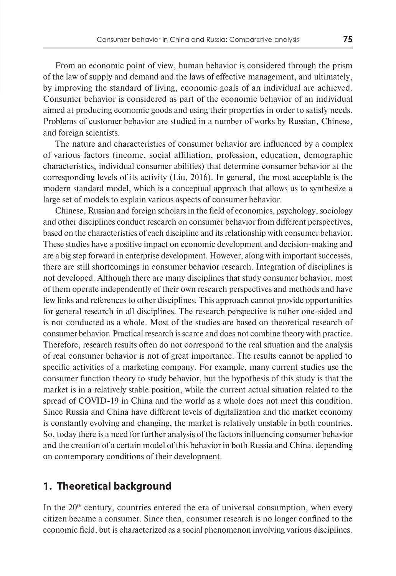From an economic point of view, human behavior is considered through the prism of the law of supply and demand and the laws of effective management, and ultimately, by improving the standard of living, economic goals of an individual are achieved. Consumer behavior is considered as part of the economic behavior of an individual aimed at producing economic goods and using their properties in order to satisfy needs. Problems of customer behavior are studied in a number of works by Russian, Chinese, and foreign scientists.

The nature and characteristics of consumer behavior are influenced by a complex of various factors (income, social affiliation, profession, education, demographic characteristics, individual consumer abilities) that determine consumer behavior at the corresponding levels of its activity (Liu, 2016). In general, the most acceptable is the modern standard model, which is a conceptual approach that allows us to synthesize a large set of models to explain various aspects of consumer behavior.

Chinese, Russian and foreign scholars in the field of economics, psychology, sociology and other disciplines conduct research on consumer behavior from different perspectives, based on the characteristics of each discipline and its relationship with consumer behavior. These studies have a positive impact on economic development and decision-making and are a big step forward in enterprise development. However, along with important successes, there are still shortcomings in consumer behavior research. Integration of disciplines is not developed. Although there are many disciplines that study consumer behavior, most of them operate independently of their own research perspectives and methods and have few links and references to other disciplines. This approach cannot provide opportunities for general research in all disciplines. The research perspective is rather one-sided and is not conducted as a whole. Most of the studies are based on theoretical research of consumer behavior. Practical research is scarce and does not combine theory with practice. Therefore, research results often do not correspond to the real situation and the analysis of real consumer behavior is not of great importance. The results cannot be applied to specific activities of a marketing company. For example, many current studies use the consumer function theory to study behavior, but the hypothesis of this study is that the market is in a relatively stable position, while the current actual situation related to the spread of COVID-19 in China and the world as a whole does not meet this condition. Since Russia and China have different levels of digitalization and the market economy is constantly evolving and changing, the market is relatively unstable in both countries. So, today there is a need for further analysis of the factors influencing consumer behavior and the creation of a certain model of this behavior in both Russia and China, depending on contemporary conditions of their development.

# **1. Theoretical background**

In the  $20<sup>th</sup>$  century, countries entered the era of universal consumption, when every citizen became a consumer. Since then, consumer research is no longer confined to the economic field, but is characterized as a social phenomenon involving various disciplines.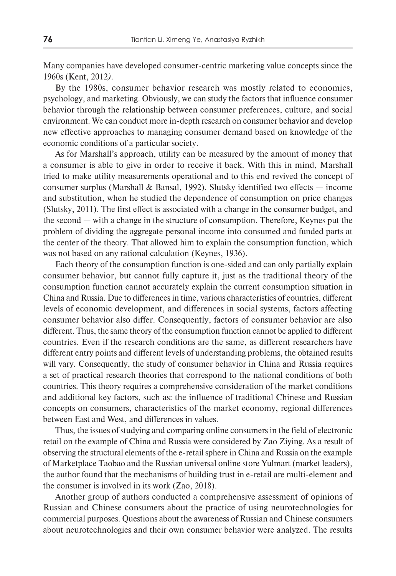Many companies have developed consumer-centric marketing value concepts since the 1960s (Kent, 2012*)*.

By the 1980s, consumer behavior research was mostly related to economics, psychology, and marketing. Obviously, we can study the factors that influence consumer behavior through the relationship between consumer preferences, culture, and social environment. We can conduct more in-depth research on consumer behavior and develop new effective approaches to managing consumer demand based on knowledge of the economic conditions of a particular society.

As for Marshall's approach, utility can be measured by the amount of money that a consumer is able to give in order to receive it back. With this in mind, Marshall tried to make utility measurements operational and to this end revived the concept of consumer surplus (Marshall & Bansal, 1992). Slutsky identified two effects  $-$  income and substitution, when he studied the dependence of consumption on price changes (Slutsky, 2011). The first effect is associated with a change in the consumer budget, and the second — with a change in the structure of consumption. Therefore, Keynes put the problem of dividing the aggregate personal income into consumed and funded parts at the center of the theory. That allowed him to explain the consumption function, which was not based on any rational calculation (Keynes, 1936).

Each theory of the consumption function is one-sided and can only partially explain consumer behavior, but cannot fully capture it, just as the traditional theory of the consumption function cannot accurately explain the current consumption situation in China and Russia. Due to differences in time, various characteristics of countries, different levels of economic development, and differences in social systems, factors affecting consumer behavior also differ. Consequently, factors of consumer behavior are also different. Thus, the same theory of the consumption function cannot be applied to different countries. Even if the research conditions are the same, as different researchers have different entry points and different levels of understanding problems, the obtained results will vary. Consequently, the study of consumer behavior in China and Russia requires a set of practical research theories that correspond to the national conditions of both countries. This theory requires a comprehensive consideration of the market conditions and additional key factors, such as: the influence of traditional Chinese and Russian concepts on consumers, characteristics of the market economy, regional differences between East and West, and differences in values.

Thus, the issues of studying and comparing online consumers in the field of electronic retail on the example of China and Russia were considered by Zao Ziying. As a result of observing the structural elements of the e-retail sphere in China and Russia on the example of Marketplace Taobao and the Russian universal online store Yulmart (market leaders), the author found that the mechanisms of building trust in e-retail are multi-element and the consumer is involved in its work (Zao, 2018).

Another group of authors conducted a comprehensive assessment of opinions of Russian and Chinese consumers about the practice of using neurotechnologies for commercial purposes. Questions about the awareness of Russian and Chinese consumers about neurotechnologies and their own consumer behavior were analyzed. The results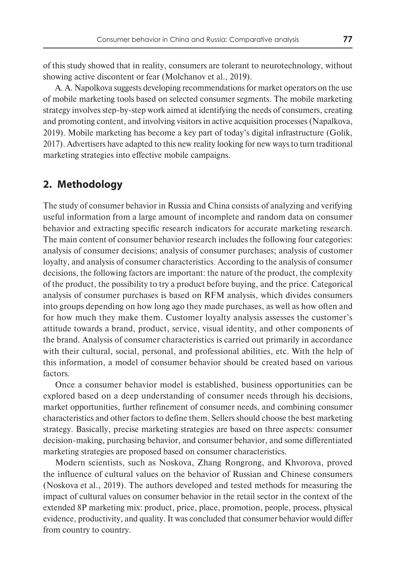of this study showed that in reality, consumers are tolerant to neurotechnology, without showing active discontent or fear (Molchanov et al., 2019).

A. A. Napolkova suggests developing recommendations for market operators on the use of mobile marketing tools based on selected consumer segments. The mobile marketing strategy involves step-by-step work aimed at identifying the needs of consumers, creating and promoting content, and involving visitors in active acquisition processes (Napalkova, 2019). Mobile marketing has become a key part of today's digital infrastructure (Golik, 2017). Advertisers have adapted to this new reality looking for new ways to turn traditional marketing strategies into effective mobile campaigns.

# **2. Methodology**

The study of consumer behavior in Russia and China consists of analyzing and verifying useful information from a large amount of incomplete and random data on consumer behavior and extracting specific research indicators for accurate marketing research. The main content of consumer behavior research includes the following four categories: analysis of consumer decisions; analysis of consumer purchases; analysis of customer loyalty, and analysis of consumer characteristics. According to the analysis of consumer decisions, the following factors are important: the nature of the product, the complexity of the product, the possibility to try a product before buying, and the price. Categorical analysis of consumer purchases is based on RFM analysis, which divides consumers into groups depending on how long ago they made purchases, as well as how often and for how much they make them. Customer loyalty analysis assesses the customer's attitude towards a brand, product, service, visual identity, and other components of the brand. Analysis of consumer characteristics is carried out primarily in accordance with their cultural, social, personal, and professional abilities, etc. With the help of this information, a model of consumer behavior should be created based on various factors.

Once a consumer behavior model is established, business opportunities can be explored based on a deep understanding of consumer needs through his decisions, market opportunities, further refinement of consumer needs, and combining consumer characteristics and other factors to define them. Sellers should choose the best marketing strategy. Basically, precise marketing strategies are based on three aspects: consumer decision-making, purchasing behavior, and consumer behavior, and some differentiated marketing strategies are proposed based on consumer characteristics.

Modern scientists, such as Noskova, Zhang Rongrong, and Khvorova, proved the influence of cultural values on the behavior of Russian and Chinese consumers (Noskova et al., 2019). The authors developed and tested methods for measuring the impact of cultural values on consumer behavior in the retail sector in the context of the extended 8P marketing mix: product, price, place, promotion, people, process, physical evidence, productivity, and quality. It was concluded that consumer behavior would differ from country to country.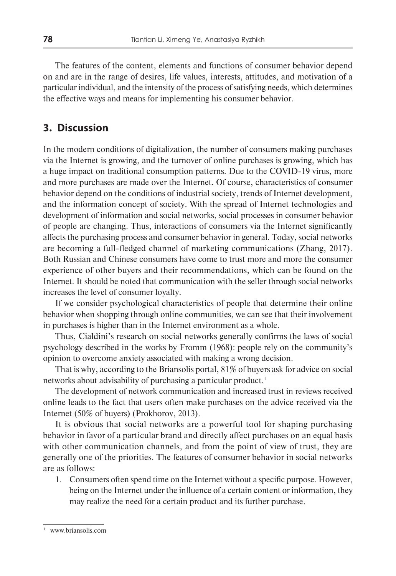The features of the content, elements and functions of consumer behavior depend on and are in the range of desires, life values, interests, attitudes, and motivation of a particular individual, and the intensity of the process of satisfying needs, which determines the effective ways and means for implementing his consumer behavior.

## **3. Discussion**

In the modern conditions of digitalization, the number of consumers making purchases via the Internet is growing, and the turnover of online purchases is growing, which has a huge impact on traditional consumption patterns. Due to the COVID-19 virus, more and more purchases are made over the Internet. Of course, characteristics of consumer behavior depend on the conditions of industrial society, trends of Internet development, and the information concept of society. With the spread of Internet technologies and development of information and social networks, social processes in consumer behavior of people are changing. Thus, interactions of consumers via the Internet significantly affects the purchasing process and consumer behavior in general. Today, social networks are becoming a full-fledged channel of marketing communications (Zhang, 2017). Both Russian and Chinese consumers have come to trust more and more the consumer experience of other buyers and their recommendations, which can be found on the Internet. It should be noted that communication with the seller through social networks increases the level of consumer loyalty.

If we consider psychological characteristics of people that determine their online behavior when shopping through online communities, we can see that their involvement in purchases is higher than in the Internet environment as a whole.

Thus, Cialdini's research on social networks generally confirms the laws of social psychology described in the works by Fromm (1968): people rely on the community's opinion to overcome anxiety associated with making a wrong decision.

That is why, according to the Briansolis portal, 81% of buyers ask for advice on social networks about advisability of purchasing a particular product.<sup>1</sup>

The development of network communication and increased trust in reviews received online leads to the fact that users often make purchases on the advice received via the Internet (50% of buyers) (Prokhorov, 2013).

It is obvious that social networks are a powerful tool for shaping purchasing behavior in favor of a particular brand and directly affect purchases on an equal basis with other communication channels, and from the point of view of trust, they are generally one of the priorities. The features of consumer behavior in social networks are as follows:

1. Consumers often spend time on the Internet without a specific purpose. However, being on the Internet under the influence of a certain content or information, they may realize the need for a certain product and its further purchase.

www.briansolis.com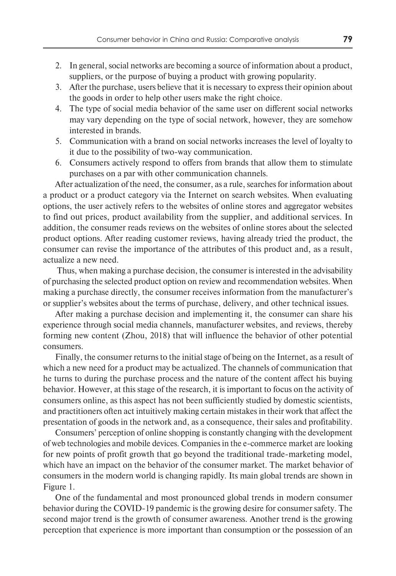- 2. In general, social networks are becoming a source of information about a product, suppliers, or the purpose of buying a product with growing popularity.
- 3. After the purchase, users believe that it is necessary to express their opinion about the goods in order to help other users make the right choice.
- 4. The type of social media behavior of the same user on different social networks may vary depending on the type of social network, however, they are somehow interested in brands.
- 5. Communication with a brand on social networks increases the level of loyalty to it due to the possibility of two-way communication.
- 6. Consumers actively respond to offers from brands that allow them to stimulate purchases on a par with other communication channels.

After actualization of the need, the consumer, as a rule, searches for information about a product or a product category via the Internet on search websites. When evaluating options, the user actively refers to the websites of online stores and aggregator websites to find out prices, product availability from the supplier, and additional services. In addition, the consumer reads reviews on the websites of online stores about the selected product options. After reading customer reviews, having already tried the product, the consumer can revise the importance of the attributes of this product and, as a result, actualize a new need.

 Thus, when making a purchase decision, the consumer is interested in the advisability of purchasing the selected product option on review and recommendation websites. When making a purchase directly, the consumer receives information from the manufacturer's or supplier's websites about the terms of purchase, delivery, and other technical issues.

After making a purchase decision and implementing it, the consumer can share his experience through social media channels, manufacturer websites, and reviews, thereby forming new content (Zhou, 2018) that will influence the behavior of other potential consumers.

Finally, the consumer returns to the initial stage of being on the Internet, as a result of which a new need for a product may be actualized. The channels of communication that he turns to during the purchase process and the nature of the content affect his buying behavior. However, at this stage of the research, it is important to focus on the activity of consumers online, as this aspect has not been sufficiently studied by domestic scientists, and practitioners often act intuitively making certain mistakes in their work that affect the presentation of goods in the network and, as a consequence, their sales and profitability.

Consumers' perception of online shopping is constantly changing with the development of web technologies and mobile devices. Companies in the e-commerce market are looking for new points of profit growth that go beyond the traditional trade-marketing model, which have an impact on the behavior of the consumer market. The market behavior of consumers in the modern world is changing rapidly. Its main global trends are shown in Figure 1.

One of the fundamental and most pronounced global trends in modern consumer behavior during the COVID-19 pandemic is the growing desire for consumer safety. The second major trend is the growth of consumer awareness. Another trend is the growing perception that experience is more important than consumption or the possession of an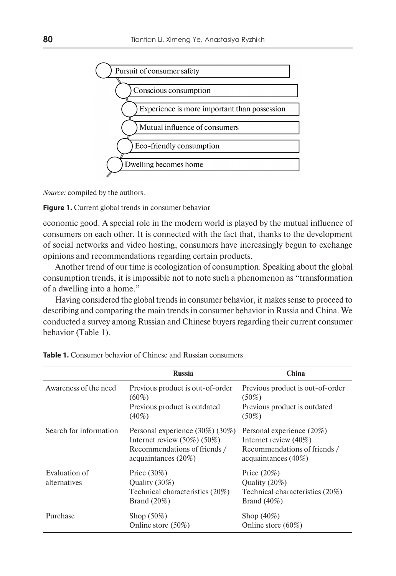

*Source:* compiled by the authors.

**Figure 1.** Current global trends in consumer behavior

economic good. A special role in the modern world is played by the mutual influence of consumers on each other. It is connected with the fact that, thanks to the development of social networks and video hosting, consumers have increasingly begun to exchange opinions and recommendations regarding certain products.

Another trend of our time is ecologization of consumption. Speaking about the global consumption trends, it is impossible not to note such a phenomenon as "transformation of a dwelling into a home."

Having considered the global trends in consumer behavior, it makes sense to proceed to describing and comparing the main trends in consumer behavior in Russia and China. We conducted a survey among Russian and Chinese buyers regarding their current consumer behavior (Table 1).

|                               | <b>Russia</b>                                                                                                                  | <b>China</b>                                                                                                    |
|-------------------------------|--------------------------------------------------------------------------------------------------------------------------------|-----------------------------------------------------------------------------------------------------------------|
| Awareness of the need         | Previous product is out-of-order<br>$(60\%)$<br>Previous product is outdated<br>$(40\%)$                                       | Previous product is out-of-order<br>$(50\%)$<br>Previous product is outdated<br>$(50\%)$                        |
| Search for information        | Personal experience (30%) (30%)<br>Internet review $(50\%)$ $(50\%)$<br>Recommendations of friends /<br>acquaintances $(20\%)$ | Personal experience (20%)<br>Internet review $(40\%)$<br>Recommendations of friends /<br>acquaintances $(40\%)$ |
| Evaluation of<br>alternatives | Price $(30\%)$<br>Quality (30%)<br>Technical characteristics (20%)<br>Brand $(20\%)$                                           | Price $(20\%)$<br>Quality (20%)<br>Technical characteristics (20%)<br>Brand $(40\%)$                            |
| Purchase                      | Shop $(50\%)$<br>Online store (50%)                                                                                            | Shop $(40\%)$<br>Online store $(60\%)$                                                                          |

**Table 1.** Consumer behavior of Chinese and Russian consumers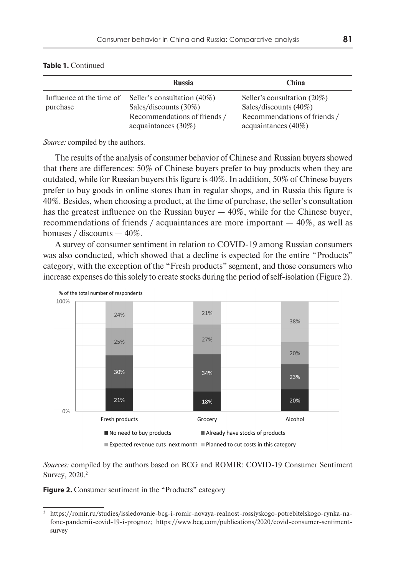|                                      | <b>Russia</b>                                                                                                  | <b>China</b>                                                                                                   |
|--------------------------------------|----------------------------------------------------------------------------------------------------------------|----------------------------------------------------------------------------------------------------------------|
| Influence at the time of<br>purchase | Seller's consultation (40%)<br>Sales/discounts (30%)<br>Recommendations of friends /<br>acquaintances $(30\%)$ | Seller's consultation (20%)<br>Sales/discounts (40%)<br>Recommendations of friends /<br>acquaintances $(40\%)$ |

#### **Table 1.** Continued

*Source:* compiled by the authors.

The results of the analysis of consumer behavior of Chinese and Russian buyers showed that there are differences: 50% of Chinese buyers prefer to buy products when they are outdated, while for Russian buyers this figure is 40%. In addition, 50% of Chinese buyers prefer to buy goods in online stores than in regular shops, and in Russia this figure is 40%. Besides, when choosing a product, at the time of purchase, the seller's consultation has the greatest influence on the Russian buyer — 40%, while for the Chinese buyer, recommendations of friends / acquaintances are more important  $-40\%$ , as well as bonuses / discounts — 40%.

A survey of consumer sentiment in relation to COVID-19 among Russian consumers was also conducted, which showed that a decline is expected for the entire "Products" category, with the exception of the "Fresh products" segment, and those consumers who increase expenses do this solely to create stocks during the period of self-isolation (Figure 2).



*Sources:* compiled by the authors based on BCG and ROMIR: COVID-19 Consumer Sentiment Survey, 2020.2

**Figure 2.** Consumer sentiment in the "Products" category

<sup>2</sup> https://romir.ru/studies/issledovanie-bcg-i-romir-novaya-realnost-rossiyskogo-potrebitelskogo-rynka-nafone-pandemii-covid-19-i-prognoz; https://www.bcg.com/publications/2020/covid-consumer-sentimentsurvey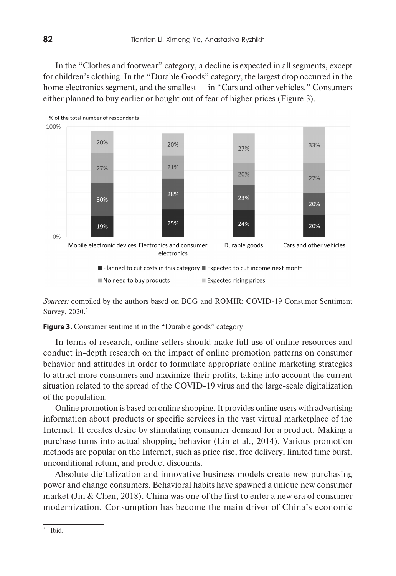In the "Clothes and footwear" category, a decline is expected in all segments, except for children's clothing. In the "Durable Goods" category, the largest drop occurred in the home electronics segment, and the smallest — in "Cars and other vehicles." Consumers either planned to buy earlier or bought out of fear of higher prices (Figure 3).



*Sources:* compiled by the authors based on BCG and ROMIR: COVID-19 Consumer Sentiment Survey, 2020.3

**Figure 3.** Consumer sentiment in the "Durable goods" category

In terms of research, online sellers should make full use of online resources and conduct in-depth research on the impact of online promotion patterns on consumer behavior and attitudes in order to formulate appropriate online marketing strategies to attract more consumers and maximize their profits, taking into account the current situation related to the spread of the COVID-19 virus and the large-scale digitalization of the population.

Online promotion is based on online shopping. It provides online users with advertising information about products or specific services in the vast virtual marketplace of the Internet. It creates desire by stimulating consumer demand for a product. Making a purchase turns into actual shopping behavior (Lin et al., 2014). Various promotion methods are popular on the Internet, such as price rise, free delivery, limited time burst, unconditional return, and product discounts.

Absolute digitalization and innovative business models create new purchasing power and change consumers. Behavioral habits have spawned a unique new consumer market (Jin & Chen, 2018). China was one of the first to enter a new era of consumer modernization. Consumption has become the main driver of China's economic

Ibid.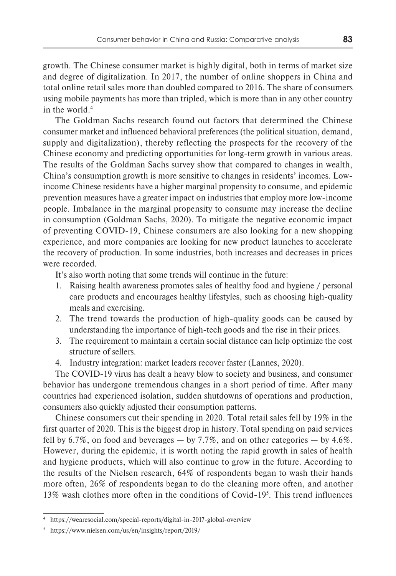growth. The Chinese consumer market is highly digital, both in terms of market size and degree of digitalization. In 2017, the number of online shoppers in China and total online retail sales more than doubled compared to 2016. The share of consumers using mobile payments has more than tripled, which is more than in any other country in the world.4

The Goldman Sachs research found out factors that determined the Chinese consumer market and influenced behavioral preferences (the political situation, demand, supply and digitalization), thereby reflecting the prospects for the recovery of the Chinese economy and predicting opportunities for long-term growth in various areas. The results of the Goldman Sachs survey show that compared to changes in wealth, China's consumption growth is more sensitive to changes in residents' incomes. Lowincome Chinese residents have a higher marginal propensity to consume, and epidemic prevention measures have a greater impact on industries that employ more low-income people. Imbalance in the marginal propensity to consume may increase the decline in consumption (Goldman Sachs, 2020). To mitigate the negative economic impact of preventing COVID-19, Chinese consumers are also looking for a new shopping experience, and more companies are looking for new product launches to accelerate the recovery of production. In some industries, both increases and decreases in prices were recorded.

It's also worth noting that some trends will continue in the future:

- 1. Raising health awareness promotes sales of healthy food and hygiene / personal care products and encourages healthy lifestyles, such as choosing high-quality meals and exercising.
- 2. The trend towards the production of high-quality goods can be caused by understanding the importance of high-tech goods and the rise in their prices.
- 3. The requirement to maintain a certain social distance can help optimize the cost structure of sellers.
- 4. Industry integration: market leaders recover faster (Lannes, 2020).

The COVID-19 virus has dealt a heavy blow to society and business, and consumer behavior has undergone tremendous changes in a short period of time. After many countries had experienced isolation, sudden shutdowns of operations and production, consumers also quickly adjusted their consumption patterns.

Chinese consumers cut their spending in 2020. Total retail sales fell by 19% in the first quarter of 2020. This is the biggest drop in history. Total spending on paid services fell by  $6.7\%$ , on food and beverages  $-$  by 7.7%, and on other categories  $-$  by 4.6%. However, during the epidemic, it is worth noting the rapid growth in sales of health and hygiene products, which will also continue to grow in the future. According to the results of the Nielsen research, 64% of respondents began to wash their hands more often, 26% of respondents began to do the cleaning more often, and another 13% wash clothes more often in the conditions of Covid-195 . This trend influences

<sup>4</sup> https://wearesocial.com/special-reports/digital-in-2017-global-overview

<sup>5</sup> https://www.nielsen.com/us/en/insights/report/2019/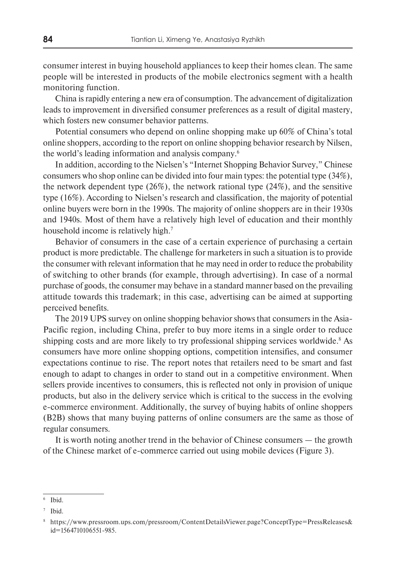consumer interest in buying household appliances to keep their homes clean. The same people will be interested in products of the mobile electronics segment with a health monitoring function.

China is rapidly entering a new era of consumption. The advancement of digitalization leads to improvement in diversified consumer preferences as a result of digital mastery, which fosters new consumer behavior patterns.

Potential consumers who depend on online shopping make up 60% of China's total online shoppers, according to the report on online shopping behavior research by Nilsen, the world's leading information and analysis company.6

In addition, according to the Nielsen's "Internet Shopping Behavior Survey," Chinese consumers who shop online can be divided into four main types: the potential type (34%), the network dependent type (26%), the network rational type (24%), and the sensitive type (16%). According to Nielsen's research and classification, the majority of potential online buyers were born in the 1990s. The majority of online shoppers are in their 1930s and 1940s. Most of them have a relatively high level of education and their monthly household income is relatively high.<sup>7</sup>

Behavior of consumers in the case of a certain experience of purchasing a certain product is more predictable. The challenge for marketers in such a situation is to provide the consumer with relevant information that he may need in order to reduce the probability of switching to other brands (for example, through advertising). In case of a normal purchase of goods, the consumer may behave in a standard manner based on the prevailing attitude towards this trademark; in this case, advertising can be aimed at supporting perceived benefits.

The 2019 UPS survey on online shopping behavior shows that consumers in the Asia-Pacific region, including China, prefer to buy more items in a single order to reduce shipping costs and are more likely to try professional shipping services worldwide.<sup>8</sup> As consumers have more online shopping options, competition intensifies, and consumer expectations continue to rise. The report notes that retailers need to be smart and fast enough to adapt to changes in order to stand out in a competitive environment. When sellers provide incentives to consumers, this is reflected not only in provision of unique products, but also in the delivery service which is critical to the success in the evolving e-commerce environment. Additionally, the survey of buying habits of online shoppers (B2B) shows that many buying patterns of online consumers are the same as those of regular consumers.

It is worth noting another trend in the behavior of Chinese consumers — the growth of the Chinese market of e-commerce carried out using mobile devices (Figure 3).

<sup>6</sup> Ibid.

Ibid.

<sup>8</sup> https://www.pressroom.ups.com/pressroom/ContentDetailsViewer.page?ConceptType=PressReleases& id=1564710106551-985.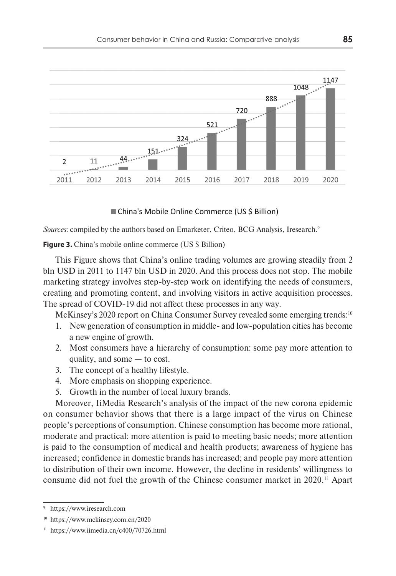

China's Mobile Online Commerce (US \$ Billion)

*Sources:* compiled by the authors based on Emarketer, Criteo, BCG Analysis, Iresearch.<sup>9</sup>

**Figure 3.** China's mobile online commerce (US \$ Billion)

This Figure shows that China's online trading volumes are growing steadily from 2 bln USD in 2011 to 1147 bln USD in 2020. And this process does not stop. The mobile marketing strategy involves step-by-step work on identifying the needs of consumers, creating and promoting content, and involving visitors in active acquisition processes. The spread of COVID-19 did not affect these processes in any way.

McKinsey's 2020 report on China Consumer Survey revealed some emerging trends:<sup>10</sup>

- 1. New generation of consumption in middle- and low-population cities has become a new engine of growth.
- 2. Most consumers have a hierarchy of consumption: some pay more attention to quality, and some — to cost.
- 3. The concept of a healthy lifestyle.
- 4. More emphasis on shopping experience.
- 5. Growth in the number of local luxury brands.

Moreover, IiMedia Research's analysis of the impact of the new corona epidemic on consumer behavior shows that there is a large impact of the virus on Chinese people's perceptions of consumption. Chinese consumption has become more rational, moderate and practical: more attention is paid to meeting basic needs; more attention is paid to the consumption of medical and health products; awareness of hygiene has increased; confidence in domestic brands has increased; and people pay more attention to distribution of their own income. However, the decline in residents' willingness to consume did not fuel the growth of the Chinese consumer market in 2020.11 Apart

<sup>9</sup> https://www.iresearch.com

<sup>10</sup> https://www.mckinsey.com.cn/2020

<sup>11</sup> https://www.iimedia.cn/c400/70726.html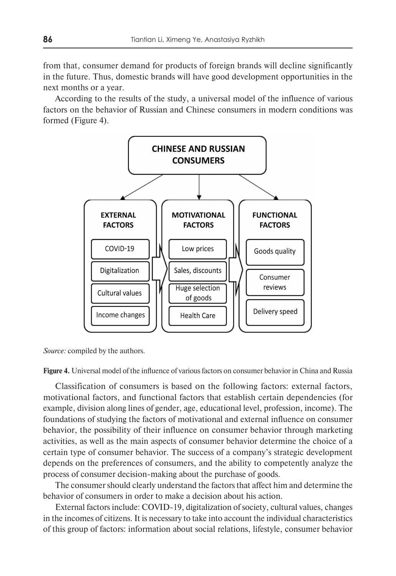from that, consumer demand for products of foreign brands will decline significantly in the future. Thus, domestic brands will have good development opportunities in the next months or a year.

According to the results of the study, a universal model of the influence of various factors on the behavior of Russian and Chinese consumers in modern conditions was formed (Figure 4).



*Source:* compiled by the authors.

**Figure 4.** Universal model of the influence of various factors on consumer behavior in China and Russia

Classification of consumers is based on the following factors: external factors, motivational factors, and functional factors that establish certain dependencies (for example, division along lines of gender, age, educational level, profession, income). The foundations of studying the factors of motivational and external influence on consumer behavior, the possibility of their influence on consumer behavior through marketing activities, as well as the main aspects of consumer behavior determine the choice of a certain type of consumer behavior. The success of a company's strategic development depends on the preferences of consumers, and the ability to competently analyze the process of consumer decision-making about the purchase of goods.

The consumer should clearly understand the factors that affect him and determine the behavior of consumers in order to make a decision about his action.

External factors include: COVID-19, digitalization of society, cultural values, changes in the incomes of citizens. It is necessary to take into account the individual characteristics of this group of factors: information about social relations, lifestyle, consumer behavior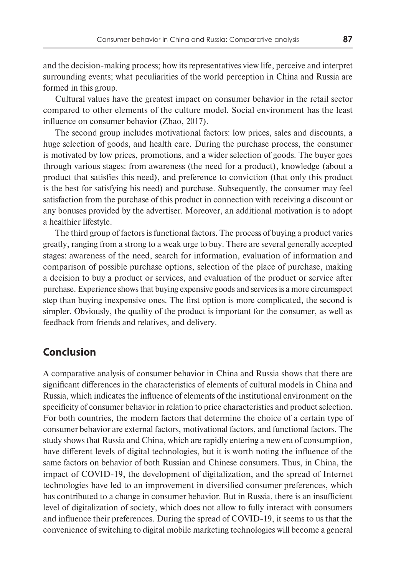and the decision-making process; how its representatives view life, perceive and interpret surrounding events; what peculiarities of the world perception in China and Russia are formed in this group.

Cultural values have the greatest impact on consumer behavior in the retail sector compared to other elements of the culture model. Social environment has the least influence on consumer behavior (Zhao, 2017).

The second group includes motivational factors: low prices, sales and discounts, a huge selection of goods, and health care. During the purchase process, the consumer is motivated by low prices, promotions, and a wider selection of goods. The buyer goes through various stages: from awareness (the need for a product), knowledge (about a product that satisfies this need), and preference to conviction (that only this product is the best for satisfying his need) and purchase. Subsequently, the consumer may feel satisfaction from the purchase of this product in connection with receiving a discount or any bonuses provided by the advertiser. Moreover, an additional motivation is to adopt a healthier lifestyle.

The third group of factors is functional factors. The process of buying a product varies greatly, ranging from a strong to a weak urge to buy. There are several generally accepted stages: awareness of the need, search for information, evaluation of information and comparison of possible purchase options, selection of the place of purchase, making a decision to buy a product or services, and evaluation of the product or service after purchase. Experience shows that buying expensive goods and services is a more circumspect step than buying inexpensive ones. The first option is more complicated, the second is simpler. Obviously, the quality of the product is important for the consumer, as well as feedback from friends and relatives, and delivery.

# **Conclusion**

A comparative analysis of consumer behavior in China and Russia shows that there are significant differences in the characteristics of elements of cultural models in China and Russia, which indicates the influence of elements of the institutional environment on the specificity of consumer behavior in relation to price characteristics and product selection. For both countries, the modern factors that determine the choice of a certain type of consumer behavior are external factors, motivational factors, and functional factors. The study shows that Russia and China, which are rapidly entering a new era of consumption, have different levels of digital technologies, but it is worth noting the influence of the same factors on behavior of both Russian and Chinese consumers. Thus, in China, the impact of COVID-19, the development of digitalization, and the spread of Internet technologies have led to an improvement in diversified consumer preferences, which has contributed to a change in consumer behavior. But in Russia, there is an insufficient level of digitalization of society, which does not allow to fully interact with consumers and influence their preferences. During the spread of COVID-19, it seems to us that the convenience of switching to digital mobile marketing technologies will become a general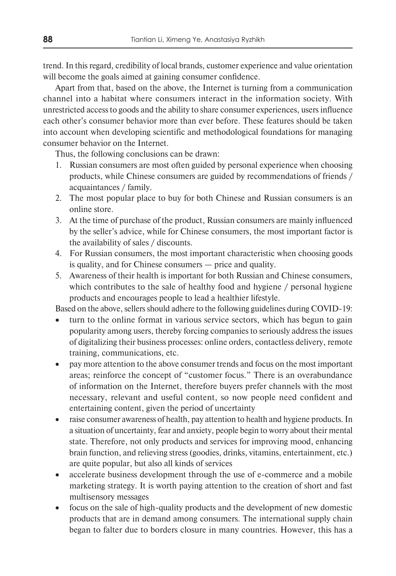trend. In this regard, credibility of local brands, customer experience and value orientation will become the goals aimed at gaining consumer confidence.

Apart from that, based on the above, the Internet is turning from a communication channel into a habitat where consumers interact in the information society. With unrestricted access to goods and the ability to share consumer experiences, users influence each other's consumer behavior more than ever before. These features should be taken into account when developing scientific and methodological foundations for managing consumer behavior on the Internet.

Thus, the following conclusions can be drawn:

- 1. Russian consumers are most often guided by personal experience when choosing products, while Chinese consumers are guided by recommendations of friends / acquaintances / family.
- 2. The most popular place to buy for both Chinese and Russian consumers is an online store.
- 3. At the time of purchase of the product, Russian consumers are mainly influenced by the seller's advice, while for Chinese consumers, the most important factor is the availability of sales / discounts.
- 4. For Russian consumers, the most important characteristic when choosing goods is quality, and for Chinese consumers — price and quality.
- 5. Awareness of their health is important for both Russian and Chinese consumers, which contributes to the sale of healthy food and hygiene / personal hygiene products and encourages people to lead a healthier lifestyle.

Based on the above, sellers should adhere to the following guidelines during COVID-19:

- turn to the online format in various service sectors, which has begun to gain popularity among users, thereby forcing companies to seriously address the issues of digitalizing their business processes: online orders, contactless delivery, remote training, communications, etc.
- pay more attention to the above consumer trends and focus on the most important areas; reinforce the concept of "customer focus." There is an overabundance of information on the Internet, therefore buyers prefer channels with the most necessary, relevant and useful content, so now people need confident and entertaining content, given the period of uncertainty
- raise consumer awareness of health, pay attention to health and hygiene products. In a situation of uncertainty, fear and anxiety, people begin to worry about their mental state. Therefore, not only products and services for improving mood, enhancing brain function, and relieving stress (goodies, drinks, vitamins, entertainment, etc.) are quite popular, but also all kinds of services
- accelerate business development through the use of e-commerce and a mobile marketing strategy. It is worth paying attention to the creation of short and fast multisensory messages
- focus on the sale of high-quality products and the development of new domestic products that are in demand among consumers. The international supply chain began to falter due to borders closure in many countries. However, this has a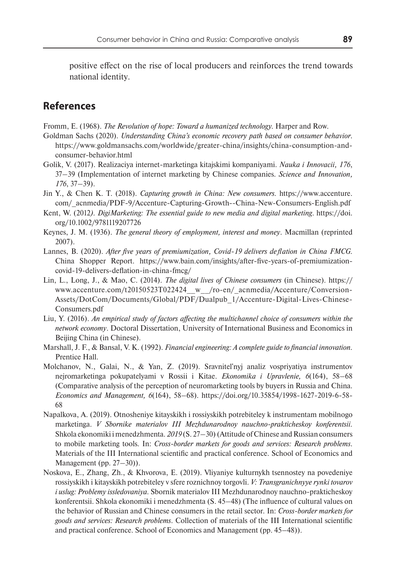positive effect on the rise of local producers and reinforces the trend towards national identity.

# **References**

Fromm, E. (1968). *The Revolution of hope: Toward a humanized technology.* Harper and Row.

- Goldman Sachs (2020). *Understanding China's economic recovery path based on consumer behavior*. https://www.goldmansachs.com/worldwide/greater-china/insights/china-consumption-andconsumer-behavior.html
- Golik, V. (2017). Realizaciya internet-marketinga kitajskimi kompaniyami. *Nauka i Innovacii, 176*, 37–39 (Implementation of internet marketing by Chinese companies. *Science and Innovation, 176*, 37–39).
- Jin Y., & Chen K. T. (2018). *Capturing growth in China: New consumers.* https://www.accenture. com/\_acnmedia/PDF-9/Accenture-Capturing-Growth--China-New-Consumers-English.pdf
- Kent, W. (2012*). DigiMarketing: The essential guide to new media and digital marketing*. https://doi. org/10.1002/9781119207726
- Keynes, J. M. (1936). *The general theory of employment, interest and money*. Macmillan (reprinted 2007).
- Lannes, B. (2020). *After five years of premiumization, Covid-19 delivers deflation in China FMCG.*  China Shopper Report. https://www.bain.com/insights/after-five-years-of-premiumizationcovid-19-delivers-deflation-in-china-fmcg/
- Lin, L., Long, J., & Mao, C. (2014). *The digital lives of Chinese consumers* (in Chinese). https:// www.accenture.com/t20150523T022424\_\_w\_\_/ro-en/\_acnmedia/Accenture/Conversion-Assets/DotCom/Documents/Global/PDF/Dualpub\_1/Accenture-Digital-Lives-Chinese-Consumers.pdf
- Liu, Y. (2016). *An empirical study of factors affecting the multichannel choice of consumers within the network economy*. Doctoral Dissertation, University of International Business and Economics in Beijing China (in Chinese).
- Marshall, J. F., & Bansal, V. K. (1992). *Financial engineering: A complete guide to financial innovation.*  Prentice Hall.
- Molchanov, N., Galai, N., & Yan, Z. (2019). Sravnitel'nyj analiz vospriyatiya instrumentov nejromarketinga pokupatelyami v Rossii i Kitae. *Ekonomika i Upravlenie, 6*(164), 58–68 (Comparative analysis of the perception of neuromarketing tools by buyers in Russia and China. *Economics and Management, 6*(164), 58–68). https://doi.org/10.35854/1998-1627-2019-6-58- 68
- Napalkova, A. (2019). Otnosheniye kitayskikh i rossiyskikh potrebiteley k instrumentam mobilnogo marketinga. *V Sbornike materialov III Mezhdunarodnoy nauchno-prakticheskoy konferentsii.*  Shkola ekonomiki i menedzhmenta. *2019* (S. 27–30)(Attitude of Chinese and Russian consumers to mobile marketing tools. In: *Cross-border markets for goods and services: Research problems*. Materials of the III International scientific and practical conference. School of Economics and Management (pp. 27–30)).
- Noskova, E., Zhang, Zh., & Khvorova, E. (2019). Vliyaniye kulturnykh tsennostey na povedeniye rossiyskikh i kitayskikh potrebiteley v sfere roznichnoy torgovli. *V: Transgranichnyye rynki tovarov i uslug: Problemy issledovaniya.* Sbornik materialov III Mezhdunarodnoy nauchno-prakticheskoy konferentsii. Shkola ekonomiki i menedzhmenta (S. 45–48) (The influence of cultural values on the behavior of Russian and Chinese consumers in the retail sector*.* In: *Cross-border markets for goods and services: Research problems*. Collection of materials of the III International scientific and practical conference. School of Economics and Management (pp. 45–48)).